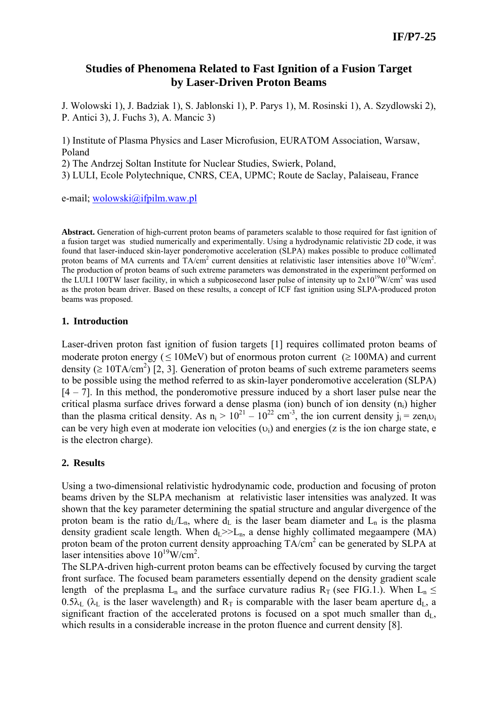# **Studies of Phenomena Related to Fast Ignition of a Fusion Target by Laser-Driven Proton Beams**

J. Wolowski 1), J. Badziak 1), S. Jablonski 1), P. Parys 1), M. Rosinski 1), A. Szydlowski 2), P. Antici 3), J. Fuchs 3), A. Mancic 3)

1) Institute of Plasma Physics and Laser Microfusion, EURATOM Association, Warsaw, Poland

2) The Andrzej Soltan Institute for Nuclear Studies, Swierk, Poland,

3) LULI, Ecole Polytechnique, CNRS, CEA, UPMC; Route de Saclay, Palaiseau, France

e-mail; wolowski@ifpilm.waw.pl

**Abstract.** Generation of high-current proton beams of parameters scalable to those required for fast ignition of a fusion target was studied numerically and experimentally. Using a hydrodynamic relativistic 2D code, it was found that laser-induced skin-layer ponderomotive acceleration (SLPA) makes possible to produce collimated proton beams of MA currents and  $TA/cm^2$  current densities at relativistic laser intensities above  $10^{19}$ W/cm<sup>2</sup>. The production of proton beams of such extreme parameters was demonstrated in the experiment performed on the LULI 100TW laser facility, in which a subpicosecond laser pulse of intensity up to  $2x10^{19}$ W/cm<sup>2</sup> was used as the proton beam driver. Based on these results, a concept of ICF fast ignition using SLPA-produced proton beams was proposed.

## **1. Introduction**

Laser-driven proton fast ignition of fusion targets [1] requires collimated proton beams of moderate proton energy ( $\leq 10$ MeV) but of enormous proton current ( $\geq 100$ MA) and current density ( $\geq 10TA/cm^2$ ) [2, 3]. Generation of proton beams of such extreme parameters seems to be possible using the method referred to as skin-layer ponderomotive acceleration (SLPA)  $[4 - 7]$ . In this method, the ponderomotive pressure induced by a short laser pulse near the critical plasma surface drives forward a dense plasma (ion) bunch of ion density (ni) higher than the plasma critical density. As  $n_i > 10^{21} - 10^{22}$  cm<sup>-3</sup>, the ion current density  $j_i = \text{zen}_{i}v_i$ can be very high even at moderate ion velocities ( $v_i$ ) and energies (z is the ion charge state, e is the electron charge).

# **2. Results**

Using a two-dimensional relativistic hydrodynamic code, production and focusing of proton beams driven by the SLPA mechanism at relativistic laser intensities was analyzed. It was shown that the key parameter determining the spatial structure and angular divergence of the proton beam is the ratio  $d_L/L_n$ , where  $d_L$  is the laser beam diameter and  $L_n$  is the plasma density gradient scale length. When  $d_l \ge L_n$ , a dense highly collimated megaampere (MA) proton beam of the proton current density approaching TA/cm<sup>2</sup> can be generated by SLPA at laser intensities above  $10^{19}$ W/cm<sup>2</sup>.

The SLPA-driven high-current proton beams can be effectively focused by curving the target front surface. The focused beam parameters essentially depend on the density gradient scale length of the preplasma L<sub>n</sub> and the surface curvature radius R<sub>T</sub> (see FIG.1.). When L<sub>n</sub>  $\leq$  $0.5\lambda_L$  ( $\lambda_L$  is the laser wavelength) and  $R_T$  is comparable with the laser beam aperture  $d_L$ , a significant fraction of the accelerated protons is focused on a spot much smaller than  $d_L$ , which results in a considerable increase in the proton fluence and current density [8].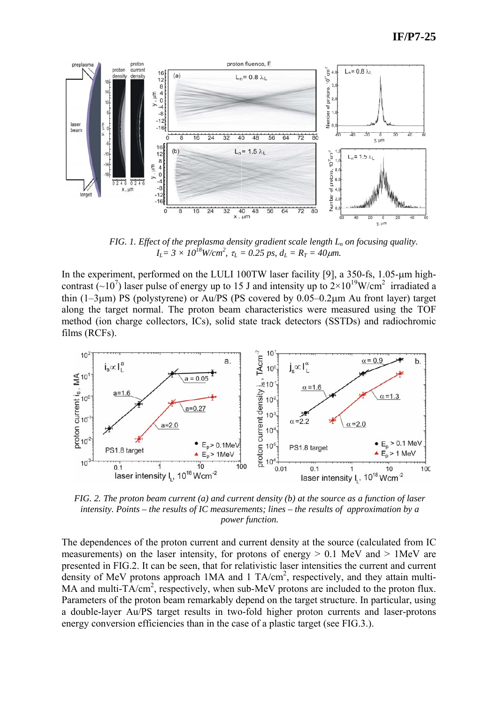

*FIG. 1. Effect of the preplasma density gradient scale length*  $L_n$  *on focusing quality.*  $I_L = 3 \times 10^{18}$ W/cm<sup>2</sup>,  $\tau_L = 0.25$  ps,  $d_L = R_T = 40$ μm.

In the experiment, performed on the LULI 100TW laser facility [9], a 350-fs, 1.05-um highcontrast  $(-10^7)$  laser pulse of energy up to 15 J and intensity up to  $2 \times 10^{19}$ W/cm<sup>2</sup> irradiated a thin (1–3μm) PS (polystyrene) or Au/PS (PS covered by 0.05–0.2μm Au front layer) target along the target normal. The proton beam characteristics were measured using the TOF method (ion charge collectors, ICs), solid state track detectors (SSTDs) and radiochromic films (RCFs).



*FIG. 2. The proton beam current (a) and current density (b) at the source as a function of laser intensity. Points – the results of IC measurements; lines – the results of approximation by a power function.* 

The dependences of the proton current and current density at the source (calculated from IC measurements) on the laser intensity, for protons of energy  $> 0.1$  MeV and  $> 1$ MeV are presented in FIG.2. It can be seen, that for relativistic laser intensities the current and current density of MeV protons approach  $1MA$  and  $1 TA/cm<sup>2</sup>$ , respectively, and they attain multi-MA and multi- $T\text{A/cm}^2$ , respectively, when sub-MeV protons are included to the proton flux. Parameters of the proton beam remarkably depend on the target structure. In particular, using a double-layer Au/PS target results in two-fold higher proton currents and laser-protons energy conversion efficiencies than in the case of a plastic target (see FIG.3.).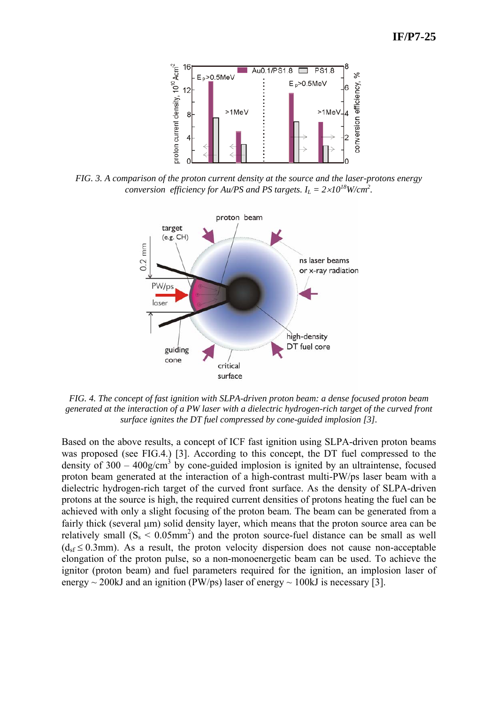

*FIG. 3. A comparison of the proton current density at the source and the laser-protons energy conversion efficiency for Au/PS and PS targets.*  $I_L = 2 \times 10^{18}$  W/cm<sup>2</sup>.



*FIG. 4. The concept of fast ignition with SLPA-driven proton beam: a dense focused proton beam generated at the interaction of a PW laser with a dielectric hydrogen-rich target of the curved front surface ignites the DT fuel compressed by cone-guided implosion [3].* 

Based on the above results, a concept of ICF fast ignition using SLPA-driven proton beams was proposed (see FIG.4.) [3]. According to this concept, the DT fuel compressed to the density of  $300 - 400$ g/cm<sup>3</sup> by cone-guided implosion is ignited by an ultraintense, focused proton beam generated at the interaction of a high-contrast multi-PW/ps laser beam with a dielectric hydrogen-rich target of the curved front surface. As the density of SLPA-driven protons at the source is high, the required current densities of protons heating the fuel can be achieved with only a slight focusing of the proton beam. The beam can be generated from a fairly thick (several μm) solid density layer, which means that the proton source area can be relatively small  $(S_s < 0.05$ mm<sup>2</sup>) and the proton source-fuel distance can be small as well  $(d_{sf} \le 0.3$ mm). As a result, the proton velocity dispersion does not cause non-acceptable elongation of the proton pulse, so a non-monoenergetic beam can be used. To achieve the ignitor (proton beam) and fuel parameters required for the ignition, an implosion laser of energy  $\sim$  200kJ and an ignition (PW/ps) laser of energy  $\sim$  100kJ is necessary [3].